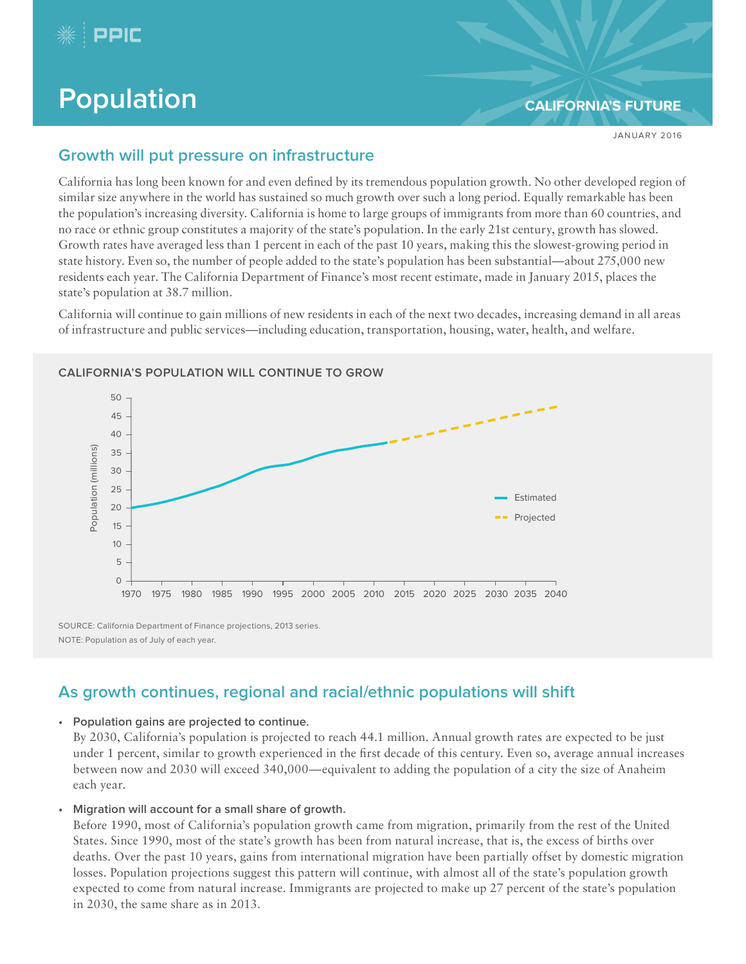

# **Population [CALIFORNIA'S FUTURE](http://www.ppic.org/main/publication.asp?i=895)**

JANUARY 2016

# **Growth will put pressure on infrastructure**

California has long been known for and even defined by its tremendous population growth. No other developed region of similar size anywhere in the world has sustained so much growth over such a long period. Equally remarkable has been the population's increasing diversity. California is home to large groups of immigrants from more than 60 countries, and no race or ethnic group constitutes a majority of the state's population. In the early 21st century, growth has slowed. Growth rates have averaged less than 1 percent in each of the past 10 years, making this the slowest-growing period in state history. Even so, the number of people added to the state's population has been substantial—about 275,000 new residents each year. The California Department of Finance's most recent estimate, made in January 2015, places the state's population at 38.7 million.

California will continue to gain millions of new residents in each of the next two decades, increasing demand in all areas of infrastructure and public services—including education, transportation, housing, water, health, and welfare.



#### **CALIFORNIA'S POPULATION WILL CONTINUE TO GROW**

**As growth continues, regional and racial/ethnic populations will shift**

#### **• Population gains are projected to continue.**

By 2030, California's population is projected to reach 44.1 million. Annual growth rates are expected to be just under 1 percent, similar to growth experienced in the first decade of this century. Even so, average annual increases between now and 2030 will exceed 340,000—equivalent to adding the population of a city the size of Anaheim each year.

**• Migration will account for a small share of growth.**

Before 1990, most of California's population growth came from migration, primarily from the rest of the United States. Since 1990, most of the state's growth has been from natural increase, that is, the excess of births over deaths. Over the past 10 years, gains from international migration have been partially offset by domestic migration losses. Population projections suggest this pattern will continue, with almost all of the state's population growth expected to come from natural increase. Immigrants are projected to make up 27 percent of the state's population in 2030, the same share as in 2013.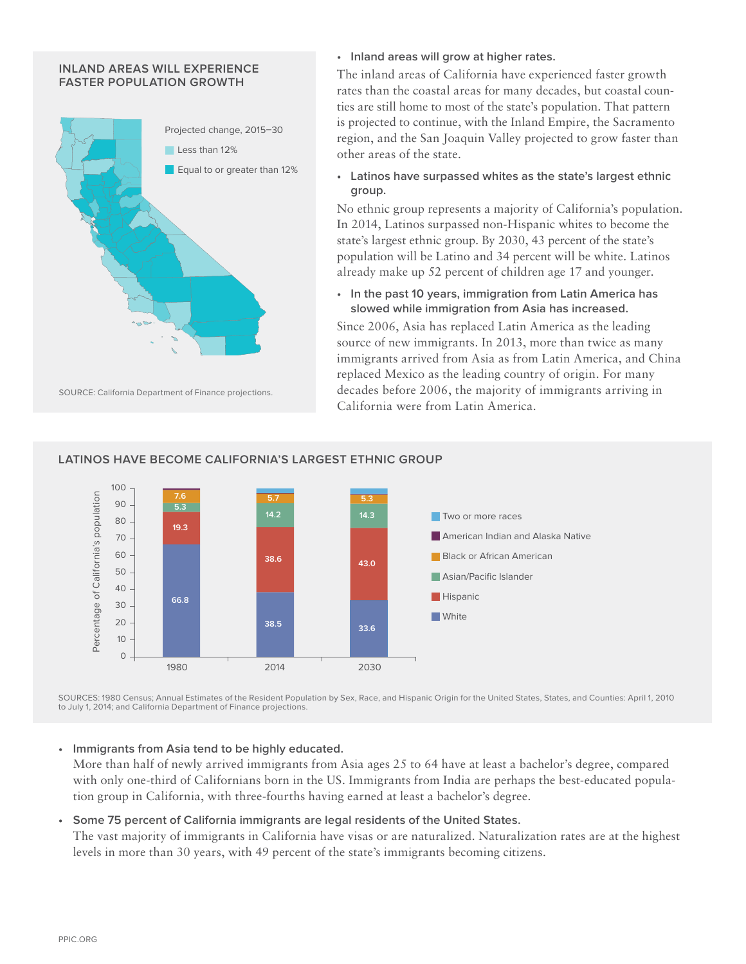#### **INLAND AREAS WILL EXPERIENCE FASTER POPULATION GROWTH**



#### **• Inland areas will grow at higher rates.**

The inland areas of California have experienced faster growth rates than the coastal areas for many decades, but coastal counties are still home to most of the state's population. That pattern is projected to continue, with the Inland Empire, the Sacramento region, and the San Joaquin Valley projected to grow faster than other areas of the state.

**• Latinos have surpassed whites as the state's largest ethnic group.**

No ethnic group represents a majority of California's population. In 2014, Latinos surpassed non-Hispanic whites to become the state's largest ethnic group. By 2030, 43 percent of the state's population will be Latino and 34 percent will be white. Latinos already make up 52 percent of children age 17 and younger.

**• In the past 10 years, immigration from Latin America has slowed while immigration from Asia has increased.** 

Since 2006, Asia has replaced Latin America as the leading source of new immigrants. In 2013, more than twice as many immigrants arrived from Asia as from Latin America, and China replaced Mexico as the leading country of origin. For many decades before 2006, the majority of immigrants arriving in California were from Latin America.



### **LATINOS HAVE BECOME CALIFORNIA'S LARGEST ETHNIC GROUP**

SOURCES: 1980 Census; Annual Estimates of the Resident Population by Sex, Race, and Hispanic Origin for the United States, States, and Counties: April 1, 2010 to July 1, 2014; and California Department of Finance projections.

#### **• Immigrants from Asia tend to be highly educated.**

More than half of newly arrived immigrants from Asia ages 25 to 64 have at least a bachelor's degree, compared with only one-third of Californians born in the US. Immigrants from India are perhaps the best-educated population group in California, with three-fourths having earned at least a bachelor's degree.

#### **• Some 75 percent of California immigrants are legal residents of the United States.**

The vast majority of immigrants in California have visas or are naturalized. Naturalization rates are at the highest levels in more than 30 years, with 49 percent of the state's immigrants becoming citizens.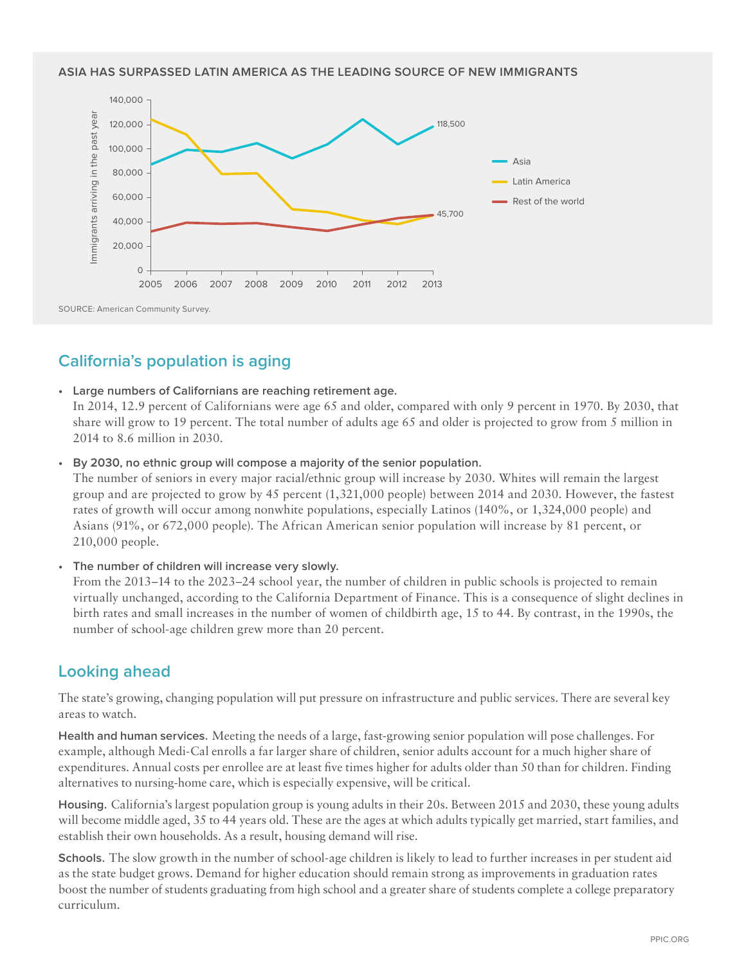#### **ASIA HAS SURPASSED LATIN AMERICA AS THE LEADING SOURCE OF NEW IMMIGRANTS**



# **California's population is aging**

**• Large numbers of Californians are reaching retirement age.**

In 2014, 12.9 percent of Californians were age 65 and older, compared with only 9 percent in 1970. By 2030, that share will grow to 19 percent. The total number of adults age 65 and older is projected to grow from 5 million in 2014 to 8.6 million in 2030.

**• By 2030, no ethnic group will compose a majority of the senior population.** 

The number of seniors in every major racial/ethnic group will increase by 2030. Whites will remain the largest group and are projected to grow by 45 percent (1,321,000 people) between 2014 and 2030. However, the fastest rates of growth will occur among nonwhite populations, especially Latinos (140%, or 1,324,000 people) and Asians (91%, or 672,000 people). The African American senior population will increase by 81 percent, or 210,000 people.

**• The number of children will increase very slowly.**

From the 2013–14 to the 2023–24 school year, the number of children in public schools is projected to remain virtually unchanged, according to the California Department of Finance. This is a consequence of slight declines in birth rates and small increases in the number of women of childbirth age, 15 to 44. By contrast, in the 1990s, the number of school-age children grew more than 20 percent.

# **Looking ahead**

The state's growing, changing population will put pressure on infrastructure and public services. There are several key areas to watch.

**Health and human services.** Meeting the needs of a large, fast-growing senior population will pose challenges. For example, although Medi-Cal enrolls a far larger share of children, senior adults account for a much higher share of expenditures. Annual costs per enrollee are at least five times higher for adults older than 50 than for children. Finding alternatives to nursing-home care, which is especially expensive, will be critical.

**Housing.** California's largest population group is young adults in their 20s. Between 2015 and 2030, these young adults will become middle aged, 35 to 44 years old. These are the ages at which adults typically get married, start families, and establish their own households. As a result, housing demand will rise.

**Schools.** The slow growth in the number of school-age children is likely to lead to further increases in per student aid as the state budget grows. Demand for higher education should remain strong as improvements in graduation rates boost the number of students graduating from high school and a greater share of students complete a college preparatory curriculum.